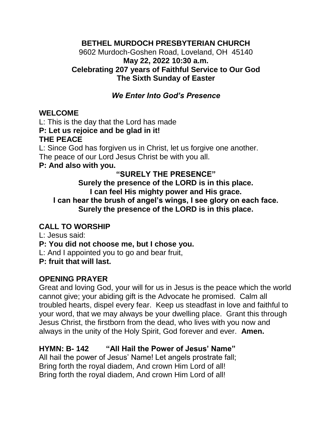### **BETHEL MURDOCH PRESBYTERIAN CHURCH**

#### 9602 Murdoch-Goshen Road, Loveland, OH 45140 **May 22, 2022 10:30 a.m. Celebrating 207 years of Faithful Service to Our God The Sixth Sunday of Easter**

## *We Enter Into God's Presence*

### **WELCOME**

L: This is the day that the Lord has made **P: Let us rejoice and be glad in it! THE PEACE**

L: Since God has forgiven us in Christ, let us forgive one another. The peace of our Lord Jesus Christ be with you all.

**P: And also with you.**

### **"SURELY THE PRESENCE"**

#### **Surely the presence of the LORD is in this place. I can feel His mighty power and His grace. I can hear the brush of angel's wings, I see glory on each face. Surely the presence of the LORD is in this place.**

## **CALL TO WORSHIP**

L: Jesus said:

**P: You did not choose me, but I chose you.**

L: And I appointed you to go and bear fruit,

**P: fruit that will last.** 

## **OPENING PRAYER**

Great and loving God, your will for us in Jesus is the peace which the world cannot give; your abiding gift is the Advocate he promised. Calm all troubled hearts, dispel every fear. Keep us steadfast in love and faithful to your word, that we may always be your dwelling place. Grant this through Jesus Christ, the firstborn from the dead, who lives with you now and always in the unity of the Holy Spirit, God forever and ever. **Amen.**

## **HYMN: B- 142 "All Hail the Power of Jesus' Name"**

All hail the power of Jesus' Name! Let angels prostrate fall; Bring forth the royal diadem, And crown Him Lord of all! Bring forth the royal diadem, And crown Him Lord of all!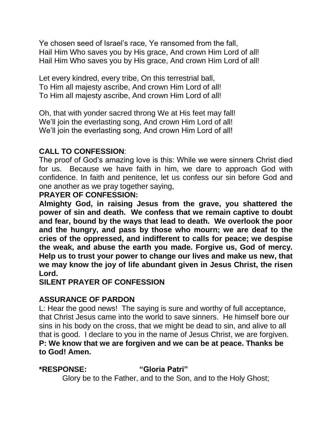Ye chosen seed of Israel's race, Ye ransomed from the fall, Hail Him Who saves you by His grace, And crown Him Lord of all! Hail Him Who saves you by His grace, And crown Him Lord of all!

Let every kindred, every tribe, On this terrestrial ball, To Him all majesty ascribe, And crown Him Lord of all! To Him all majesty ascribe, And crown Him Lord of all!

Oh, that with yonder sacred throng We at His feet may fall! We'll join the everlasting song, And crown Him Lord of all! We'll join the everlasting song, And crown Him Lord of all!

### **CALL TO CONFESSION**:

The proof of God's amazing love is this: While we were sinners Christ died for us. Because we have faith in him, we dare to approach God with confidence. In faith and penitence, let us confess our sin before God and one another as we pray together saying,

#### **PRAYER OF CONFESSION:**

**Almighty God, in raising Jesus from the grave, you shattered the power of sin and death. We confess that we remain captive to doubt and fear, bound by the ways that lead to death. We overlook the poor and the hungry, and pass by those who mourn; we are deaf to the cries of the oppressed, and indifferent to calls for peace; we despise the weak, and abuse the earth you made. Forgive us, God of mercy. Help us to trust your power to change our lives and make us new, that we may know the joy of life abundant given in Jesus Christ, the risen Lord.** 

**SILENT PRAYER OF CONFESSION**

#### **ASSURANCE OF PARDON**

L: Hear the good news! The saying is sure and worthy of full acceptance, that Christ Jesus came into the world to save sinners. He himself bore our sins in his body on the cross, that we might be dead to sin, and alive to all that is good. I declare to you in the name of Jesus Christ, we are forgiven. **P: We know that we are forgiven and we can be at peace. Thanks be to God! Amen.**

#### **\*RESPONSE: "Gloria Patri"**

Glory be to the Father, and to the Son, and to the Holy Ghost;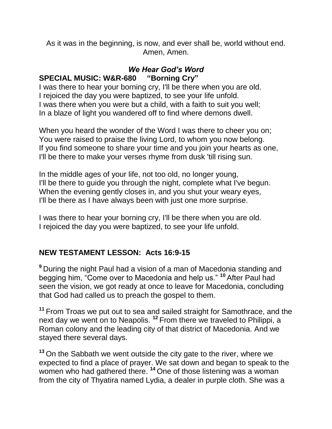As it was in the beginning, is now, and ever shall be, world without end. Amen, Amen.

### *We Hear God's Word* **SPECIAL MUSIC: W&R-680 "Borning Cry"**

I was there to hear your borning cry, I'll be there when you are old. I rejoiced the day you were baptized, to see your life unfold. I was there when you were but a child, with a faith to suit you well; In a blaze of light you wandered off to find where demons dwell.

When you heard the wonder of the Word I was there to cheer you on; You were raised to praise the living Lord, to whom you now belong. If you find someone to share your time and you join your hearts as one, I'll be there to make your verses rhyme from dusk 'till rising sun.

In the middle ages of your life, not too old, no longer young, I'll be there to guide you through the night, complete what I've begun. When the evening gently closes in, and you shut your weary eyes, I'll be there as I have always been with just one more surprise.

I was there to hear your borning cry, I'll be there when you are old. I rejoiced the day you were baptized, to see your life unfold.

## **NEW TESTAMENT LESSON: Acts 16:9-15**

**<sup>9</sup>** During the night Paul had a vision of a man of Macedonia standing and begging him, "Come over to Macedonia and help us." **<sup>10</sup>** After Paul had seen the vision, we got ready at once to leave for Macedonia, concluding that God had called us to preach the gospel to them.

**<sup>11</sup>** From Troas we put out to sea and sailed straight for Samothrace, and the next day we went on to Neapolis. **<sup>12</sup>** From there we traveled to Philippi, a Roman colony and the leading city of that district of Macedonia. And we stayed there several days.

**<sup>13</sup>** On the Sabbath we went outside the city gate to the river, where we expected to find a place of prayer. We sat down and began to speak to the women who had gathered there. **<sup>14</sup>** One of those listening was a woman from the city of Thyatira named Lydia, a dealer in purple cloth. She was a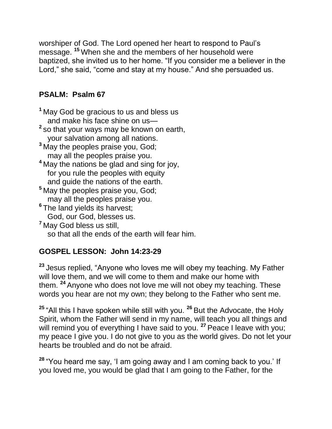worshiper of God. The Lord opened her heart to respond to Paul's message. **<sup>15</sup>** When she and the members of her household were baptized, she invited us to her home. "If you consider me a believer in the Lord," she said, "come and stay at my house." And she persuaded us.

## **PSALM: Psalm 67**

**<sup>1</sup>** May God be gracious to us and bless us and make his face shine on us— **<sup>2</sup>** <sup>2</sup> so that your ways may be known on earth, your salvation among all nations. **<sup>3</sup>** May the peoples praise you, God; may all the peoples praise you. **<sup>4</sup>** May the nations be glad and sing for joy, for you rule the peoples with equity and guide the nations of the earth. **<sup>5</sup>** May the peoples praise you, God; may all the peoples praise you. **6** The land yields its harvest; God, our God, blesses us. **<sup>7</sup>** May God bless us still, so that all the ends of the earth will fear him.

# **GOSPEL LESSON: John 14:23-29**

**<sup>23</sup>** Jesus replied, "Anyone who loves me will obey my teaching. My Father will love them, and we will come to them and make our home with them. **<sup>24</sup>** Anyone who does not love me will not obey my teaching. These words you hear are not my own; they belong to the Father who sent me.

**<sup>25</sup>** "All this I have spoken while still with you. **<sup>26</sup>** But the Advocate, the Holy Spirit, whom the Father will send in my name, will teach you all things and will remind you of everything I have said to you. **<sup>27</sup>** Peace I leave with you; my peace I give you. I do not give to you as the world gives. Do not let your hearts be troubled and do not be afraid.

**<sup>28</sup>** "You heard me say, 'I am going away and I am coming back to you.' If you loved me, you would be glad that I am going to the Father, for the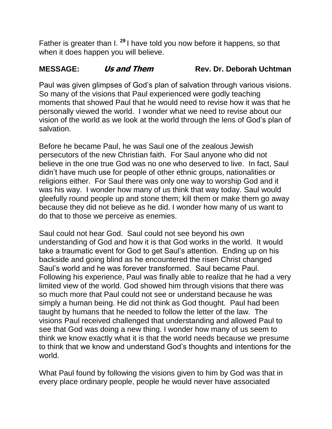Father is greater than I. **<sup>29</sup>** I have told you now before it happens, so that when it does happen you will believe.

## **MESSAGE:** *Us and Them* Rev. Dr. Deborah Uchtman

Paul was given glimpses of God's plan of salvation through various visions. So many of the visions that Paul experienced were godly teaching moments that showed Paul that he would need to revise how it was that he personally viewed the world. I wonder what we need to revise about our vision of the world as we look at the world through the lens of God's plan of salvation.

Before he became Paul, he was Saul one of the zealous Jewish persecutors of the new Christian faith. For Saul anyone who did not believe in the one true God was no one who deserved to live. In fact, Saul didn't have much use for people of other ethnic groups, nationalities or religions either. For Saul there was only one way to worship God and it was his way. I wonder how many of us think that way today. Saul would gleefully round people up and stone them; kill them or make them go away because they did not believe as he did. I wonder how many of us want to do that to those we perceive as enemies.

Saul could not hear God. Saul could not see beyond his own understanding of God and how it is that God works in the world. It would take a traumatic event for God to get Saul's attention. Ending up on his backside and going blind as he encountered the risen Christ changed Saul's world and he was forever transformed. Saul became Paul. Following his experience, Paul was finally able to realize that he had a very limited view of the world. God showed him through visions that there was so much more that Paul could not see or understand because he was simply a human being. He did not think as God thought. Paul had been taught by humans that he needed to follow the letter of the law. The visions Paul received challenged that understanding and allowed Paul to see that God was doing a new thing. I wonder how many of us seem to think we know exactly what it is that the world needs because we presume to think that we know and understand God's thoughts and intentions for the world.

What Paul found by following the visions given to him by God was that in every place ordinary people, people he would never have associated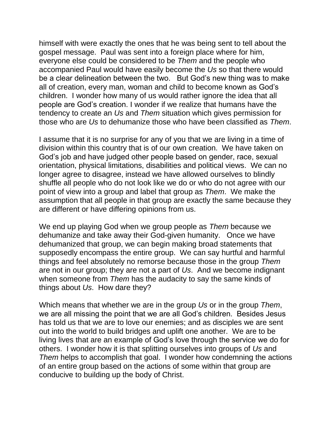himself with were exactly the ones that he was being sent to tell about the gospel message. Paul was sent into a foreign place where for him, everyone else could be considered to be *Them* and the people who accompanied Paul would have easily become the *Us* so that there would be a clear delineation between the two. But God's new thing was to make all of creation, every man, woman and child to become known as God's children. I wonder how many of us would rather ignore the idea that all people are God's creation. I wonder if we realize that humans have the tendency to create an *Us* and *Them* situation which gives permission for those who are *Us* to dehumanize those who have been classified as *Them*.

I assume that it is no surprise for any of you that we are living in a time of division within this country that is of our own creation. We have taken on God's job and have judged other people based on gender, race, sexual orientation, physical limitations, disabilities and political views. We can no longer agree to disagree, instead we have allowed ourselves to blindly shuffle all people who do not look like we do or who do not agree with our point of view into a group and label that group as *Them*. We make the assumption that all people in that group are exactly the same because they are different or have differing opinions from us.

We end up playing God when we group people as *Them* because we dehumanize and take away their God-given humanity. Once we have dehumanized that group, we can begin making broad statements that supposedly encompass the entire group. We can say hurtful and harmful things and feel absolutely no remorse because those in the group *Them* are not in our group; they are not a part of *Us*. And we become indignant when someone from *Them* has the audacity to say the same kinds of things about *Us*. How dare they?

Which means that whether we are in the group *Us* or in the group *Them*, we are all missing the point that we are all God's children. Besides Jesus has told us that we are to love our enemies; and as disciples we are sent out into the world to build bridges and uplift one another. We are to be living lives that are an example of God's love through the service we do for others. I wonder how it is that splitting ourselves into groups of *Us* and *Them* helps to accomplish that goal. I wonder how condemning the actions of an entire group based on the actions of some within that group are conducive to building up the body of Christ.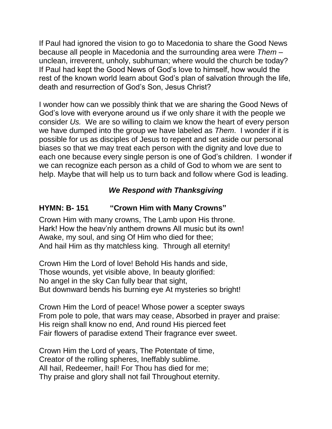If Paul had ignored the vision to go to Macedonia to share the Good News because all people in Macedonia and the surrounding area were *Them* – unclean, irreverent, unholy, subhuman; where would the church be today? If Paul had kept the Good News of God's love to himself, how would the rest of the known world learn about God's plan of salvation through the life, death and resurrection of God's Son, Jesus Christ?

I wonder how can we possibly think that we are sharing the Good News of God's love with everyone around us if we only share it with the people we consider *Us.* We are so willing to claim we know the heart of every person we have dumped into the group we have labeled as *Them*. I wonder if it is possible for us as disciples of Jesus to repent and set aside our personal biases so that we may treat each person with the dignity and love due to each one because every single person is one of God's children. I wonder if we can recognize each person as a child of God to whom we are sent to help. Maybe that will help us to turn back and follow where God is leading.

## *We Respond with Thanksgiving*

## **HYMN: B- 151 "Crown Him with Many Crowns"**

Crown Him with many crowns, The Lamb upon His throne. Hark! How the heav'nly anthem drowns All music but its own! Awake, my soul, and sing Of Him who died for thee; And hail Him as thy matchless king. Through all eternity!

Crown Him the Lord of love! Behold His hands and side, Those wounds, yet visible above, In beauty glorified: No angel in the sky Can fully bear that sight, But downward bends his burning eye At mysteries so bright!

Crown Him the Lord of peace! Whose power a scepter sways From pole to pole, that wars may cease, Absorbed in prayer and praise: His reign shall know no end, And round His pierced feet Fair flowers of paradise extend Their fragrance ever sweet.

Crown Him the Lord of years, The Potentate of time, Creator of the rolling spheres, Ineffably sublime. All hail, Redeemer, hail! For Thou has died for me; Thy praise and glory shall not fail Throughout eternity.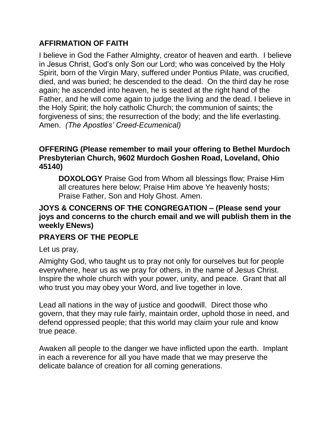## **AFFIRMATION OF FAITH**

I believe in God the Father Almighty, creator of heaven and earth. I believe in Jesus Christ, God's only Son our Lord; who was conceived by the Holy Spirit, born of the Virgin Mary, suffered under Pontius Pilate, was crucified, died, and was buried; he descended to the dead. On the third day he rose again; he ascended into heaven, he is seated at the right hand of the Father, and he will come again to judge the living and the dead. I believe in the Holy Spirit; the holy catholic Church; the communion of saints; the forgiveness of sins; the resurrection of the body; and the life everlasting. Amen. *(The Apostles' Creed-Ecumenical)*

#### **OFFERING (Please remember to mail your offering to Bethel Murdoch Presbyterian Church, 9602 Murdoch Goshen Road, Loveland, Ohio 45140)**

**DOXOLOGY** Praise God from Whom all blessings flow; Praise Him all creatures here below; Praise Him above Ye heavenly hosts; Praise Father, Son and Holy Ghost. Amen.

### **JOYS & CONCERNS OF THE CONGREGATION – (Please send your joys and concerns to the church email and we will publish them in the weekly ENews)**

## **PRAYERS OF THE PEOPLE**

Let us pray,

Almighty God, who taught us to pray not only for ourselves but for people everywhere, hear us as we pray for others, in the name of Jesus Christ. Inspire the whole church with your power, unity, and peace. Grant that all who trust you may obey your Word, and live together in love.

Lead all nations in the way of justice and goodwill. Direct those who govern, that they may rule fairly, maintain order, uphold those in need, and defend oppressed people; that this world may claim your rule and know true peace.

Awaken all people to the danger we have inflicted upon the earth. Implant in each a reverence for all you have made that we may preserve the delicate balance of creation for all coming generations.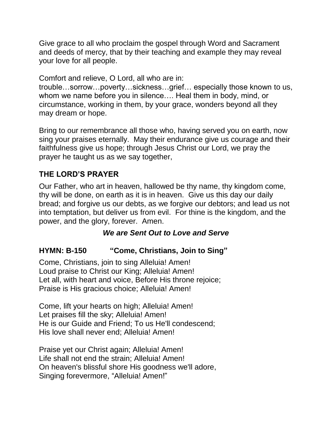Give grace to all who proclaim the gospel through Word and Sacrament and deeds of mercy, that by their teaching and example they may reveal your love for all people.

Comfort and relieve, O Lord, all who are in:

trouble…sorrow…poverty…sickness…grief… especially those known to us, whom we name before you in silence…. Heal them in body, mind, or circumstance, working in them, by your grace, wonders beyond all they may dream or hope.

Bring to our remembrance all those who, having served you on earth, now sing your praises eternally. May their endurance give us courage and their faithfulness give us hope; through Jesus Christ our Lord, we pray the prayer he taught us as we say together,

## **THE LORD'S PRAYER**

Our Father, who art in heaven, hallowed be thy name, thy kingdom come, thy will be done, on earth as it is in heaven. Give us this day our daily bread; and forgive us our debts, as we forgive our debtors; and lead us not into temptation, but deliver us from evil. For thine is the kingdom, and the power, and the glory, forever. Amen.

## *We are Sent Out to Love and Serve*

## **HYMN: B-150 "Come, Christians, Join to Sing"**

Come, Christians, join to sing Alleluia! Amen! Loud praise to Christ our King; Alleluia! Amen! Let all, with heart and voice, Before His throne rejoice; Praise is His gracious choice; Alleluia! Amen!

Come, lift your hearts on high; Alleluia! Amen! Let praises fill the sky; Alleluia! Amen! He is our Guide and Friend; To us He'll condescend; His love shall never end; Alleluia! Amen!

Praise yet our Christ again; Alleluia! Amen! Life shall not end the strain; Alleluia! Amen! On heaven's blissful shore His goodness we'll adore, Singing forevermore, "Alleluia! Amen!"